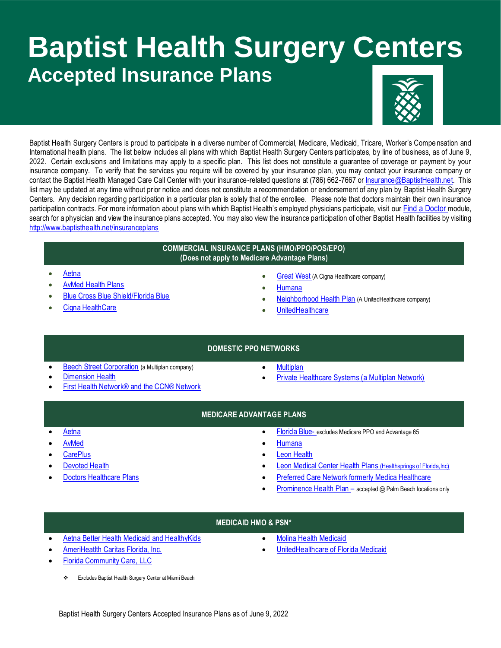# **Baptist Health Surgery Centers Accepted Insurance Plans**



Baptist Health Surgery Centers is proud to participate in a diverse number of Commercial, Medicare, Medicaid, Tricare, Worker's Compe nsation and International health plans. The list below includes all plans with which Baptist Health Surgery Centers participates, by line of business, as of June 9, 2022. Certain exclusions and limitations may apply to a specific plan. This list does not constitute a guarantee of coverage or payment by your insurance company. To verify that the services you require will be covered by your insurance plan, you may contact your insurance company or contact the Baptist Health Managed Care Call Center with your insurance-related questions at (786) 662-7667 or [Insurance@BaptistHealth.net.](mailto:Insurance@BaptistHealth.net) This list may be updated at any time without prior notice and does not constitute a recommendation or endorsement of any plan by Baptist Health Surgery Centers. Any decision regarding participation in a particular plan is solely that of the enrollee. Please note that doctors maintain their own insurance participation contracts. For more information about plans with which Baptist Health's employed physicians participate, visit our Find a [Doctor](https://baptisthealth.net/en/baptist-health-medical-group/pages/baptist-health-medical-group-doctors.aspx) module, search for a physician and view the insurance plans accepted. You may also view the insurance participation of other Baptist Health facilities by visiting <http://www.baptisthealth.net/insuranceplans>

#### **COMMERCIAL INSURANCE PLANS (HMO/PPO/POS/EPO) (Does not apply to Medicare Advantage Plans)**

- [Aetna](https://www.aetna.com/)
- [AvMed Health Plans](https://www.avmed.org/)
- [Blue Cross Blue Shield/Florida Blue](https://www.floridablue.com/)
- [Cigna HealthCare](https://www.cigna.com/)
- [Great West](https://www.cigna.com/) (A Cigna Healthcare company)
- **[Humana](https://www.humana.com/)**
- [Neighborhood Health Plan](https://www.uhc.com/) (A UnitedHealthcare company)
- **[UnitedHealthcare](https://www.uhc.com/)**

# **DOMESTIC PPO NETWORKS**

- [Beech Street Corporation](https://www.beechstreet.com/Beechstreet/) (a Multiplan company)
- [Dimension Health](http://www.dimensionhealth.com/)
- [First Health Network® and the CCN® Network](https://providerlocator.firsthealth.com/home/index)
- **[Multiplan](https://www.multiplan.com/webcenter/portal/MultiPlan)**
- [Private Healthcare Systems \(a Multiplan Network\)](https://www.multiplan.com/webcenter/portal/ProviderSearch)

# **MEDICARE ADVANTAGE PLANS**

- 
- [AvMed](https://www.avmed.org/)

[Aetna](https://www.aetnamedicare.com/en/var/dep-105.html?adobe_mc_sdid=SDID%3D1ECBDB1F54D3CE5D-52318EC0494D34C6%7CMCORGID%3D993B1C8B532962CD0A490D4D%40AdobeOrg%7CTS%3D1569607040&adobe_mc_ref=https%3A%2F%2Fwww.google.com%2Furl%3Fsa%3Dt%26rct%3Dj%26q%3D%26esrc%3Ds%26source%3Dweb%26cd%3D1%26ved%3D2ahUKEwi6qpbuyfHkAhXP1lkKHXNhBKQQFjAAegQIBhAC%26url%3Dhttps%253A%252F%252Fwww.aetnamedicare.com%252F%26usg%3DAOvVaw07kDjuc3Ci0wnAWgRrCnQH)

- **[CarePlus](https://www.careplushealthplans.com/medicare-plans/)**
- [Devoted Health](https://www.devoted.com/)
- [Doctors Healthcare Plans](https://www.doctorshcp.com/)
- [Florida Blue-](https://www.floridablue.com/) excludes Medicare PPO and Advantage 65
- [Humana](https://www.humana.com/)
- [Leon Health](https://www.leonhealth.com/)
- [Leon Medical Center Health Plans](http://www.leonmedicalcenters.com/) (Healthsprings of Florida, Inc)
- [Preferred Care Network formerly Medica Healthcare](http://www.medicaplans.com/)
- [Prominence Health Plan](http://www.prominencehealthplan.com/) accepted @ Palm Beach locations only

# **MEDICAID HMO & PSN\***

- [Aetna Better Health Medicaid and HealthyKids](https://www.aetnabetterhealth.com/florida)
- **[AmeriHeatlth Caritas Florida, Inc.](https://www.amerihealthcaritas.com/)**
- [Florida Community Care,](https://fcchealthplan.com/) LLC
	- \* Excludes Baptist Health Surgery Center at Miami Beach
- [Molina Health Medicaid](https://www.molinahealthcare.com/members/fl/en-us/mem/medicaid/Pages/medicaid.aspx)
- [UnitedHealthcare of Florida Medicaid](https://www.uhccommunityplan.com/)